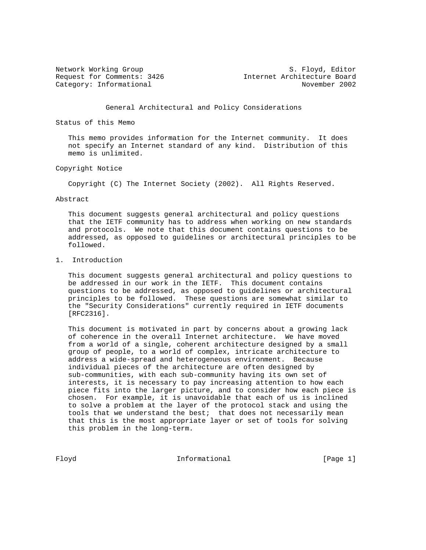Network Working Group S. Floyd, Editor Request for Comments: 3426 1nternet Architecture Board Category: Informational November 2002

General Architectural and Policy Considerations

Status of this Memo

 This memo provides information for the Internet community. It does not specify an Internet standard of any kind. Distribution of this memo is unlimited.

Copyright Notice

Copyright (C) The Internet Society (2002). All Rights Reserved.

Abstract

 This document suggests general architectural and policy questions that the IETF community has to address when working on new standards and protocols. We note that this document contains questions to be addressed, as opposed to guidelines or architectural principles to be followed.

### 1. Introduction

 This document suggests general architectural and policy questions to be addressed in our work in the IETF. This document contains questions to be addressed, as opposed to guidelines or architectural principles to be followed. These questions are somewhat similar to the "Security Considerations" currently required in IETF documents [RFC2316].

 This document is motivated in part by concerns about a growing lack of coherence in the overall Internet architecture. We have moved from a world of a single, coherent architecture designed by a small group of people, to a world of complex, intricate architecture to address a wide-spread and heterogeneous environment. Because individual pieces of the architecture are often designed by sub-communities, with each sub-community having its own set of interests, it is necessary to pay increasing attention to how each piece fits into the larger picture, and to consider how each piece is chosen. For example, it is unavoidable that each of us is inclined to solve a problem at the layer of the protocol stack and using the tools that we understand the best; that does not necessarily mean that this is the most appropriate layer or set of tools for solving this problem in the long-term.

Floyd **Informational** Informational [Page 1]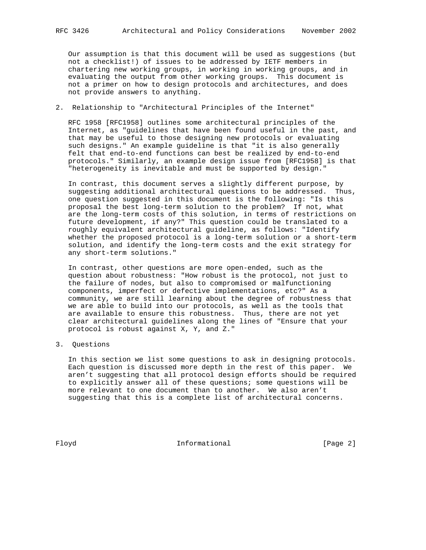Our assumption is that this document will be used as suggestions (but not a checklist!) of issues to be addressed by IETF members in chartering new working groups, in working in working groups, and in evaluating the output from other working groups. This document is not a primer on how to design protocols and architectures, and does not provide answers to anything.

2. Relationship to "Architectural Principles of the Internet"

 RFC 1958 [RFC1958] outlines some architectural principles of the Internet, as "guidelines that have been found useful in the past, and that may be useful to those designing new protocols or evaluating such designs." An example guideline is that "it is also generally felt that end-to-end functions can best be realized by end-to-end protocols." Similarly, an example design issue from [RFC1958] is that "heterogeneity is inevitable and must be supported by design."

 In contrast, this document serves a slightly different purpose, by suggesting additional architectural questions to be addressed. Thus, one question suggested in this document is the following: "Is this proposal the best long-term solution to the problem? If not, what are the long-term costs of this solution, in terms of restrictions on future development, if any?" This question could be translated to a roughly equivalent architectural guideline, as follows: "Identify whether the proposed protocol is a long-term solution or a short-term solution, and identify the long-term costs and the exit strategy for any short-term solutions."

 In contrast, other questions are more open-ended, such as the question about robustness: "How robust is the protocol, not just to the failure of nodes, but also to compromised or malfunctioning components, imperfect or defective implementations, etc?" As a community, we are still learning about the degree of robustness that we are able to build into our protocols, as well as the tools that are available to ensure this robustness. Thus, there are not yet clear architectural guidelines along the lines of "Ensure that your protocol is robust against X, Y, and Z."

3. Questions

 In this section we list some questions to ask in designing protocols. Each question is discussed more depth in the rest of this paper. We aren't suggesting that all protocol design efforts should be required to explicitly answer all of these questions; some questions will be more relevant to one document than to another. We also aren't suggesting that this is a complete list of architectural concerns.

Floyd **Informational Informational** [Page 2]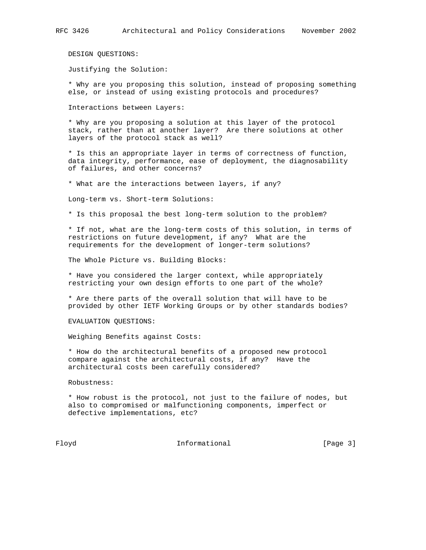DESIGN QUESTIONS:

Justifying the Solution:

 \* Why are you proposing this solution, instead of proposing something else, or instead of using existing protocols and procedures?

Interactions between Layers:

 \* Why are you proposing a solution at this layer of the protocol stack, rather than at another layer? Are there solutions at other layers of the protocol stack as well?

 \* Is this an appropriate layer in terms of correctness of function, data integrity, performance, ease of deployment, the diagnosability of failures, and other concerns?

\* What are the interactions between layers, if any?

Long-term vs. Short-term Solutions:

\* Is this proposal the best long-term solution to the problem?

 \* If not, what are the long-term costs of this solution, in terms of restrictions on future development, if any? What are the requirements for the development of longer-term solutions?

The Whole Picture vs. Building Blocks:

 \* Have you considered the larger context, while appropriately restricting your own design efforts to one part of the whole?

 \* Are there parts of the overall solution that will have to be provided by other IETF Working Groups or by other standards bodies?

EVALUATION QUESTIONS:

Weighing Benefits against Costs:

 \* How do the architectural benefits of a proposed new protocol compare against the architectural costs, if any? Have the architectural costs been carefully considered?

Robustness:

 \* How robust is the protocol, not just to the failure of nodes, but also to compromised or malfunctioning components, imperfect or defective implementations, etc?

Floyd **Informational Informational** [Page 3]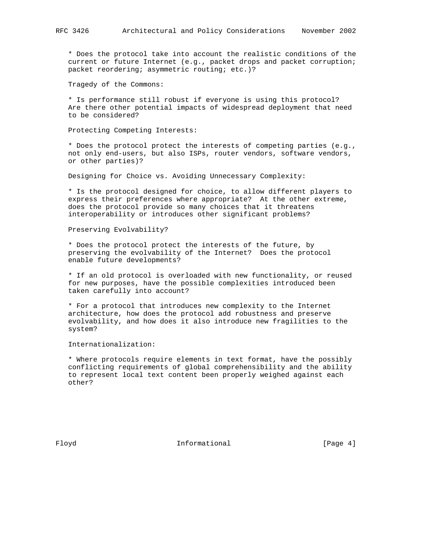\* Does the protocol take into account the realistic conditions of the current or future Internet (e.g., packet drops and packet corruption; packet reordering; asymmetric routing; etc.)?

Tragedy of the Commons:

 \* Is performance still robust if everyone is using this protocol? Are there other potential impacts of widespread deployment that need to be considered?

Protecting Competing Interests:

 \* Does the protocol protect the interests of competing parties (e.g., not only end-users, but also ISPs, router vendors, software vendors, or other parties)?

Designing for Choice vs. Avoiding Unnecessary Complexity:

 \* Is the protocol designed for choice, to allow different players to express their preferences where appropriate? At the other extreme, does the protocol provide so many choices that it threatens interoperability or introduces other significant problems?

Preserving Evolvability?

 \* Does the protocol protect the interests of the future, by preserving the evolvability of the Internet? Does the protocol enable future developments?

 \* If an old protocol is overloaded with new functionality, or reused for new purposes, have the possible complexities introduced been taken carefully into account?

 \* For a protocol that introduces new complexity to the Internet architecture, how does the protocol add robustness and preserve evolvability, and how does it also introduce new fragilities to the system?

Internationalization:

 \* Where protocols require elements in text format, have the possibly conflicting requirements of global comprehensibility and the ability to represent local text content been properly weighed against each other?

Floyd **Informational Informational** [Page 4]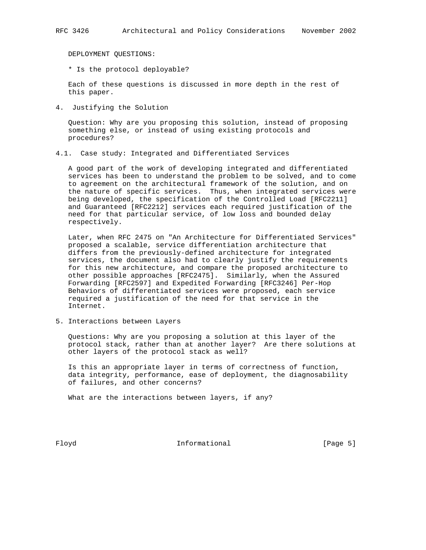DEPLOYMENT QUESTIONS:

\* Is the protocol deployable?

 Each of these questions is discussed in more depth in the rest of this paper.

4. Justifying the Solution

 Question: Why are you proposing this solution, instead of proposing something else, or instead of using existing protocols and procedures?

4.1. Case study: Integrated and Differentiated Services

 A good part of the work of developing integrated and differentiated services has been to understand the problem to be solved, and to come to agreement on the architectural framework of the solution, and on the nature of specific services. Thus, when integrated services were being developed, the specification of the Controlled Load [RFC2211] and Guaranteed [RFC2212] services each required justification of the need for that particular service, of low loss and bounded delay respectively.

 Later, when RFC 2475 on "An Architecture for Differentiated Services" proposed a scalable, service differentiation architecture that differs from the previously-defined architecture for integrated services, the document also had to clearly justify the requirements for this new architecture, and compare the proposed architecture to other possible approaches [RFC2475]. Similarly, when the Assured Forwarding [RFC2597] and Expedited Forwarding [RFC3246] Per-Hop Behaviors of differentiated services were proposed, each service required a justification of the need for that service in the Internet.

5. Interactions between Layers

 Questions: Why are you proposing a solution at this layer of the protocol stack, rather than at another layer? Are there solutions at other layers of the protocol stack as well?

 Is this an appropriate layer in terms of correctness of function, data integrity, performance, ease of deployment, the diagnosability of failures, and other concerns?

What are the interactions between layers, if any?

Floyd **Informational Informational** [Page 5]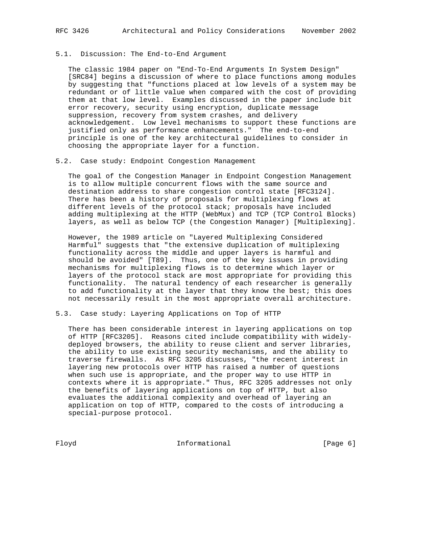## 5.1. Discussion: The End-to-End Argument

 The classic 1984 paper on "End-To-End Arguments In System Design" [SRC84] begins a discussion of where to place functions among modules by suggesting that "functions placed at low levels of a system may be redundant or of little value when compared with the cost of providing them at that low level. Examples discussed in the paper include bit error recovery, security using encryption, duplicate message suppression, recovery from system crashes, and delivery acknowledgement. Low level mechanisms to support these functions are justified only as performance enhancements." The end-to-end principle is one of the key architectural guidelines to consider in choosing the appropriate layer for a function.

#### 5.2. Case study: Endpoint Congestion Management

 The goal of the Congestion Manager in Endpoint Congestion Management is to allow multiple concurrent flows with the same source and destination address to share congestion control state [RFC3124]. There has been a history of proposals for multiplexing flows at different levels of the protocol stack; proposals have included adding multiplexing at the HTTP (WebMux) and TCP (TCP Control Blocks) layers, as well as below TCP (the Congestion Manager) [Multiplexing].

 However, the 1989 article on "Layered Multiplexing Considered Harmful" suggests that "the extensive duplication of multiplexing functionality across the middle and upper layers is harmful and should be avoided" [T89]. Thus, one of the key issues in providing mechanisms for multiplexing flows is to determine which layer or layers of the protocol stack are most appropriate for providing this functionality. The natural tendency of each researcher is generally to add functionality at the layer that they know the best; this does not necessarily result in the most appropriate overall architecture.

### 5.3. Case study: Layering Applications on Top of HTTP

 There has been considerable interest in layering applications on top of HTTP [RFC3205]. Reasons cited include compatibility with widely deployed browsers, the ability to reuse client and server libraries, the ability to use existing security mechanisms, and the ability to traverse firewalls. As RFC 3205 discusses, "the recent interest in layering new protocols over HTTP has raised a number of questions when such use is appropriate, and the proper way to use HTTP in contexts where it is appropriate." Thus, RFC 3205 addresses not only the benefits of layering applications on top of HTTP, but also evaluates the additional complexity and overhead of layering an application on top of HTTP, compared to the costs of introducing a special-purpose protocol.

Floyd **Informational Informational** [Page 6]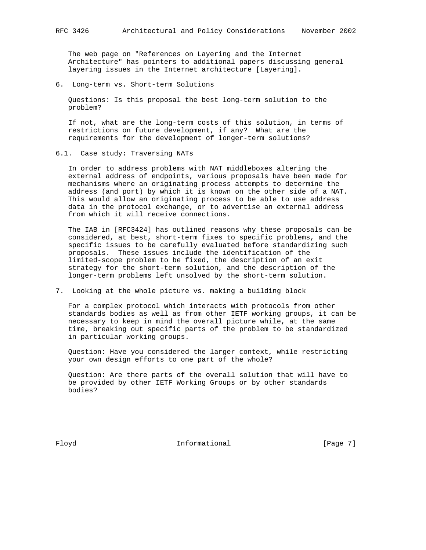The web page on "References on Layering and the Internet Architecture" has pointers to additional papers discussing general layering issues in the Internet architecture [Layering].

6. Long-term vs. Short-term Solutions

 Questions: Is this proposal the best long-term solution to the problem?

 If not, what are the long-term costs of this solution, in terms of restrictions on future development, if any? What are the requirements for the development of longer-term solutions?

6.1. Case study: Traversing NATs

 In order to address problems with NAT middleboxes altering the external address of endpoints, various proposals have been made for mechanisms where an originating process attempts to determine the address (and port) by which it is known on the other side of a NAT. This would allow an originating process to be able to use address data in the protocol exchange, or to advertise an external address from which it will receive connections.

 The IAB in [RFC3424] has outlined reasons why these proposals can be considered, at best, short-term fixes to specific problems, and the specific issues to be carefully evaluated before standardizing such proposals. These issues include the identification of the limited-scope problem to be fixed, the description of an exit strategy for the short-term solution, and the description of the longer-term problems left unsolved by the short-term solution.

7. Looking at the whole picture vs. making a building block

 For a complex protocol which interacts with protocols from other standards bodies as well as from other IETF working groups, it can be necessary to keep in mind the overall picture while, at the same time, breaking out specific parts of the problem to be standardized in particular working groups.

 Question: Have you considered the larger context, while restricting your own design efforts to one part of the whole?

 Question: Are there parts of the overall solution that will have to be provided by other IETF Working Groups or by other standards bodies?

Floyd **Informational** Informational [Page 7]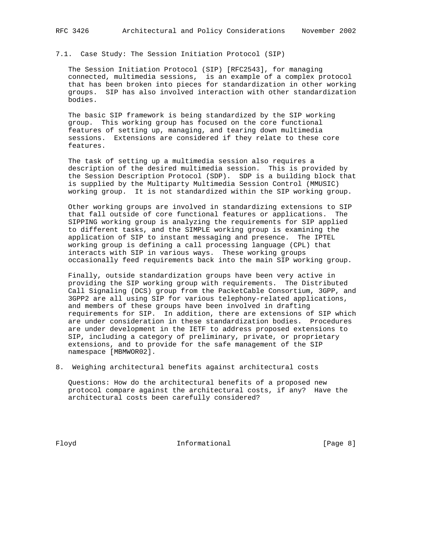7.1. Case Study: The Session Initiation Protocol (SIP)

 The Session Initiation Protocol (SIP) [RFC2543], for managing connected, multimedia sessions, is an example of a complex protocol that has been broken into pieces for standardization in other working groups. SIP has also involved interaction with other standardization bodies.

 The basic SIP framework is being standardized by the SIP working group. This working group has focused on the core functional features of setting up, managing, and tearing down multimedia sessions. Extensions are considered if they relate to these core features.

 The task of setting up a multimedia session also requires a description of the desired multimedia session. This is provided by the Session Description Protocol (SDP). SDP is a building block that is supplied by the Multiparty Multimedia Session Control (MMUSIC) working group. It is not standardized within the SIP working group.

 Other working groups are involved in standardizing extensions to SIP that fall outside of core functional features or applications. The SIPPING working group is analyzing the requirements for SIP applied to different tasks, and the SIMPLE working group is examining the application of SIP to instant messaging and presence. The IPTEL working group is defining a call processing language (CPL) that interacts with SIP in various ways. These working groups occasionally feed requirements back into the main SIP working group.

 Finally, outside standardization groups have been very active in providing the SIP working group with requirements. The Distributed Call Signaling (DCS) group from the PacketCable Consortium, 3GPP, and 3GPP2 are all using SIP for various telephony-related applications, and members of these groups have been involved in drafting requirements for SIP. In addition, there are extensions of SIP which are under consideration in these standardization bodies. Procedures are under development in the IETF to address proposed extensions to SIP, including a category of preliminary, private, or proprietary extensions, and to provide for the safe management of the SIP namespace [MBMWOR02].

8. Weighing architectural benefits against architectural costs

 Questions: How do the architectural benefits of a proposed new protocol compare against the architectural costs, if any? Have the architectural costs been carefully considered?

Floyd **Informational Informational** [Page 8]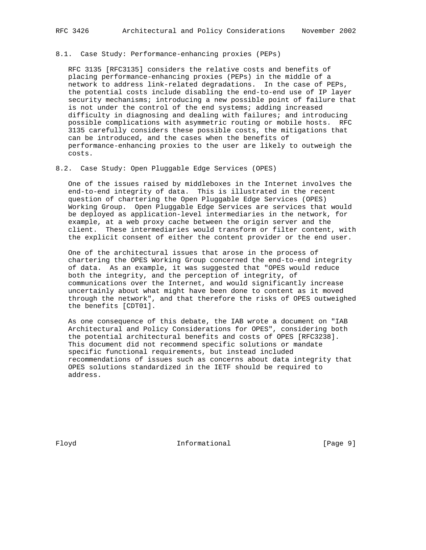#### 8.1. Case Study: Performance-enhancing proxies (PEPs)

 RFC 3135 [RFC3135] considers the relative costs and benefits of placing performance-enhancing proxies (PEPs) in the middle of a network to address link-related degradations. In the case of PEPs, the potential costs include disabling the end-to-end use of IP layer security mechanisms; introducing a new possible point of failure that is not under the control of the end systems; adding increased difficulty in diagnosing and dealing with failures; and introducing possible complications with asymmetric routing or mobile hosts. RFC 3135 carefully considers these possible costs, the mitigations that can be introduced, and the cases when the benefits of performance-enhancing proxies to the user are likely to outweigh the costs.

8.2. Case Study: Open Pluggable Edge Services (OPES)

 One of the issues raised by middleboxes in the Internet involves the end-to-end integrity of data. This is illustrated in the recent question of chartering the Open Pluggable Edge Services (OPES) Working Group. Open Pluggable Edge Services are services that would be deployed as application-level intermediaries in the network, for example, at a web proxy cache between the origin server and the client. These intermediaries would transform or filter content, with the explicit consent of either the content provider or the end user.

 One of the architectural issues that arose in the process of chartering the OPES Working Group concerned the end-to-end integrity of data. As an example, it was suggested that "OPES would reduce both the integrity, and the perception of integrity, of communications over the Internet, and would significantly increase uncertainly about what might have been done to content as it moved through the network", and that therefore the risks of OPES outweighed the benefits [CDT01].

 As one consequence of this debate, the IAB wrote a document on "IAB Architectural and Policy Considerations for OPES", considering both the potential architectural benefits and costs of OPES [RFC3238]. This document did not recommend specific solutions or mandate specific functional requirements, but instead included recommendations of issues such as concerns about data integrity that OPES solutions standardized in the IETF should be required to address.

Floyd **Informational Informational** [Page 9]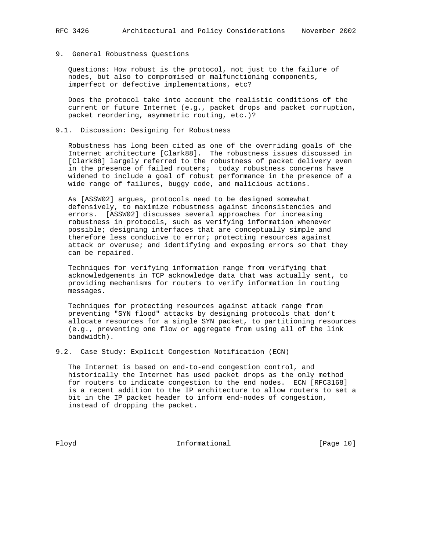## 9. General Robustness Questions

 Questions: How robust is the protocol, not just to the failure of nodes, but also to compromised or malfunctioning components, imperfect or defective implementations, etc?

 Does the protocol take into account the realistic conditions of the current or future Internet (e.g., packet drops and packet corruption, packet reordering, asymmetric routing, etc.)?

### 9.1. Discussion: Designing for Robustness

 Robustness has long been cited as one of the overriding goals of the Internet architecture [Clark88]. The robustness issues discussed in [Clark88] largely referred to the robustness of packet delivery even in the presence of failed routers; today robustness concerns have widened to include a goal of robust performance in the presence of a wide range of failures, buggy code, and malicious actions.

 As [ASSW02] argues, protocols need to be designed somewhat defensively, to maximize robustness against inconsistencies and errors. [ASSW02] discusses several approaches for increasing robustness in protocols, such as verifying information whenever possible; designing interfaces that are conceptually simple and therefore less conducive to error; protecting resources against attack or overuse; and identifying and exposing errors so that they can be repaired.

 Techniques for verifying information range from verifying that acknowledgements in TCP acknowledge data that was actually sent, to providing mechanisms for routers to verify information in routing messages.

 Techniques for protecting resources against attack range from preventing "SYN flood" attacks by designing protocols that don't allocate resources for a single SYN packet, to partitioning resources (e.g., preventing one flow or aggregate from using all of the link bandwidth).

9.2. Case Study: Explicit Congestion Notification (ECN)

 The Internet is based on end-to-end congestion control, and historically the Internet has used packet drops as the only method for routers to indicate congestion to the end nodes. ECN [RFC3168] is a recent addition to the IP architecture to allow routers to set a bit in the IP packet header to inform end-nodes of congestion, instead of dropping the packet.

Floyd **Informational Informational** [Page 10]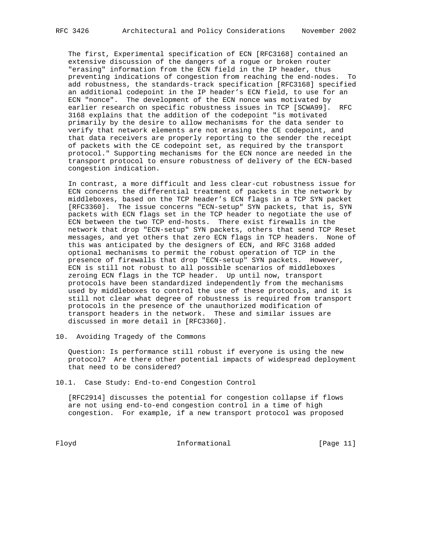The first, Experimental specification of ECN [RFC3168] contained an extensive discussion of the dangers of a rogue or broken router "erasing" information from the ECN field in the IP header, thus preventing indications of congestion from reaching the end-nodes. To add robustness, the standards-track specification [RFC3168] specified an additional codepoint in the IP header's ECN field, to use for an ECN "nonce". The development of the ECN nonce was motivated by earlier research on specific robustness issues in TCP [SCWA99]. RFC 3168 explains that the addition of the codepoint "is motivated primarily by the desire to allow mechanisms for the data sender to verify that network elements are not erasing the CE codepoint, and that data receivers are properly reporting to the sender the receipt of packets with the CE codepoint set, as required by the transport protocol." Supporting mechanisms for the ECN nonce are needed in the transport protocol to ensure robustness of delivery of the ECN-based congestion indication.

 In contrast, a more difficult and less clear-cut robustness issue for ECN concerns the differential treatment of packets in the network by middleboxes, based on the TCP header's ECN flags in a TCP SYN packet [RFC3360]. The issue concerns "ECN-setup" SYN packets, that is, SYN packets with ECN flags set in the TCP header to negotiate the use of ECN between the two TCP end-hosts. There exist firewalls in the network that drop "ECN-setup" SYN packets, others that send TCP Reset messages, and yet others that zero ECN flags in TCP headers. None of this was anticipated by the designers of ECN, and RFC 3168 added optional mechanisms to permit the robust operation of TCP in the presence of firewalls that drop "ECN-setup" SYN packets. However, ECN is still not robust to all possible scenarios of middleboxes zeroing ECN flags in the TCP header. Up until now, transport protocols have been standardized independently from the mechanisms used by middleboxes to control the use of these protocols, and it is still not clear what degree of robustness is required from transport protocols in the presence of the unauthorized modification of transport headers in the network. These and similar issues are discussed in more detail in [RFC3360].

10. Avoiding Tragedy of the Commons

 Question: Is performance still robust if everyone is using the new protocol? Are there other potential impacts of widespread deployment that need to be considered?

10.1. Case Study: End-to-end Congestion Control

 [RFC2914] discusses the potential for congestion collapse if flows are not using end-to-end congestion control in a time of high congestion. For example, if a new transport protocol was proposed

Floyd **Informational Informational** [Page 11]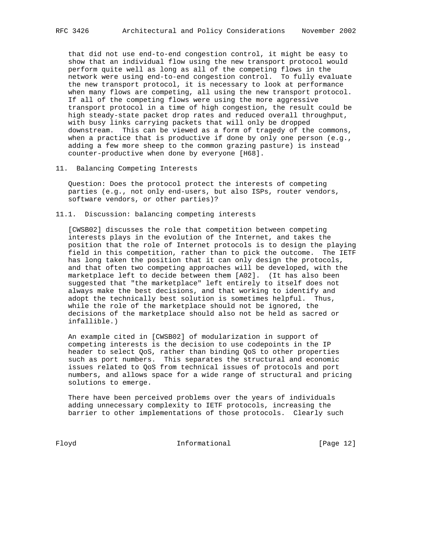that did not use end-to-end congestion control, it might be easy to show that an individual flow using the new transport protocol would perform quite well as long as all of the competing flows in the network were using end-to-end congestion control. To fully evaluate the new transport protocol, it is necessary to look at performance when many flows are competing, all using the new transport protocol. If all of the competing flows were using the more aggressive transport protocol in a time of high congestion, the result could be high steady-state packet drop rates and reduced overall throughput, with busy links carrying packets that will only be dropped downstream. This can be viewed as a form of tragedy of the commons, when a practice that is productive if done by only one person (e.g., adding a few more sheep to the common grazing pasture) is instead counter-productive when done by everyone [H68].

#### 11. Balancing Competing Interests

 Question: Does the protocol protect the interests of competing parties (e.g., not only end-users, but also ISPs, router vendors, software vendors, or other parties)?

### 11.1. Discussion: balancing competing interests

 [CWSB02] discusses the role that competition between competing interests plays in the evolution of the Internet, and takes the position that the role of Internet protocols is to design the playing field in this competition, rather than to pick the outcome. The IETF has long taken the position that it can only design the protocols, and that often two competing approaches will be developed, with the marketplace left to decide between them [A02]. (It has also been suggested that "the marketplace" left entirely to itself does not always make the best decisions, and that working to identify and adopt the technically best solution is sometimes helpful. Thus, while the role of the marketplace should not be ignored, the decisions of the marketplace should also not be held as sacred or infallible.)

 An example cited in [CWSB02] of modularization in support of competing interests is the decision to use codepoints in the IP header to select QoS, rather than binding QoS to other properties such as port numbers. This separates the structural and economic issues related to QoS from technical issues of protocols and port numbers, and allows space for a wide range of structural and pricing solutions to emerge.

 There have been perceived problems over the years of individuals adding unnecessary complexity to IETF protocols, increasing the barrier to other implementations of those protocols. Clearly such

Floyd **Informational Informational** [Page 12]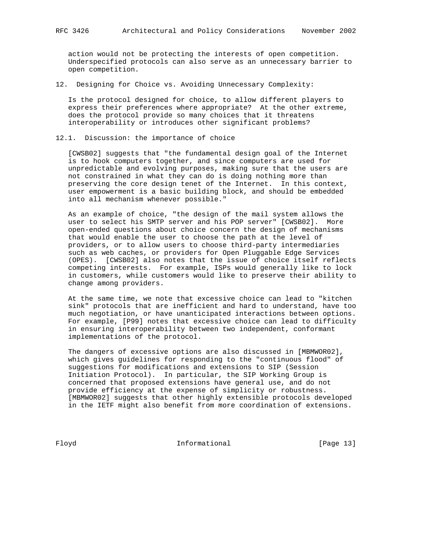action would not be protecting the interests of open competition. Underspecified protocols can also serve as an unnecessary barrier to open competition.

12. Designing for Choice vs. Avoiding Unnecessary Complexity:

 Is the protocol designed for choice, to allow different players to express their preferences where appropriate? At the other extreme, does the protocol provide so many choices that it threatens interoperability or introduces other significant problems?

12.1. Discussion: the importance of choice

 [CWSB02] suggests that "the fundamental design goal of the Internet is to hook computers together, and since computers are used for unpredictable and evolving purposes, making sure that the users are not constrained in what they can do is doing nothing more than preserving the core design tenet of the Internet. In this context, user empowerment is a basic building block, and should be embedded into all mechanism whenever possible."

 As an example of choice, "the design of the mail system allows the user to select his SMTP server and his POP server" [CWSB02]. More open-ended questions about choice concern the design of mechanisms that would enable the user to choose the path at the level of providers, or to allow users to choose third-party intermediaries such as web caches, or providers for Open Pluggable Edge Services (OPES). [CWSB02] also notes that the issue of choice itself reflects competing interests. For example, ISPs would generally like to lock in customers, while customers would like to preserve their ability to change among providers.

 At the same time, we note that excessive choice can lead to "kitchen sink" protocols that are inefficient and hard to understand, have too much negotiation, or have unanticipated interactions between options. For example, [P99] notes that excessive choice can lead to difficulty in ensuring interoperability between two independent, conformant implementations of the protocol.

 The dangers of excessive options are also discussed in [MBMWOR02], which gives guidelines for responding to the "continuous flood" of suggestions for modifications and extensions to SIP (Session Initiation Protocol). In particular, the SIP Working Group is concerned that proposed extensions have general use, and do not provide efficiency at the expense of simplicity or robustness. [MBMWOR02] suggests that other highly extensible protocols developed in the IETF might also benefit from more coordination of extensions.

Floyd **Informational Informational** [Page 13]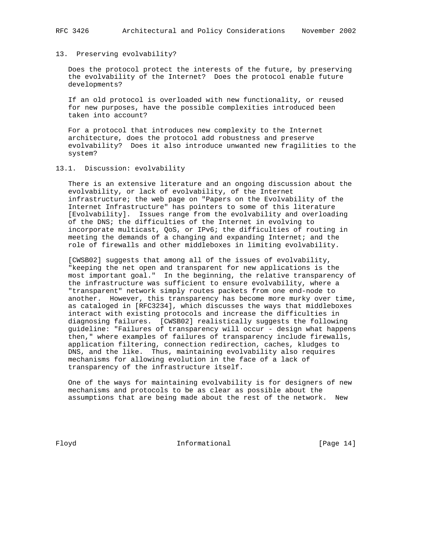#### 13. Preserving evolvability?

 Does the protocol protect the interests of the future, by preserving the evolvability of the Internet? Does the protocol enable future developments?

 If an old protocol is overloaded with new functionality, or reused for new purposes, have the possible complexities introduced been taken into account?

 For a protocol that introduces new complexity to the Internet architecture, does the protocol add robustness and preserve evolvability? Does it also introduce unwanted new fragilities to the system?

### 13.1. Discussion: evolvability

 There is an extensive literature and an ongoing discussion about the evolvability, or lack of evolvability, of the Internet infrastructure; the web page on "Papers on the Evolvability of the Internet Infrastructure" has pointers to some of this literature [Evolvability]. Issues range from the evolvability and overloading of the DNS; the difficulties of the Internet in evolving to incorporate multicast, QoS, or IPv6; the difficulties of routing in meeting the demands of a changing and expanding Internet; and the role of firewalls and other middleboxes in limiting evolvability.

 [CWSB02] suggests that among all of the issues of evolvability, "keeping the net open and transparent for new applications is the most important goal." In the beginning, the relative transparency of the infrastructure was sufficient to ensure evolvability, where a "transparent" network simply routes packets from one end-node to another. However, this transparency has become more murky over time, as cataloged in [RFC3234], which discusses the ways that middleboxes interact with existing protocols and increase the difficulties in diagnosing failures. [CWSB02] realistically suggests the following guideline: "Failures of transparency will occur - design what happens then," where examples of failures of transparency include firewalls, application filtering, connection redirection, caches, kludges to DNS, and the like. Thus, maintaining evolvability also requires mechanisms for allowing evolution in the face of a lack of transparency of the infrastructure itself.

 One of the ways for maintaining evolvability is for designers of new mechanisms and protocols to be as clear as possible about the assumptions that are being made about the rest of the network. New

Floyd **Informational Informational** [Page 14]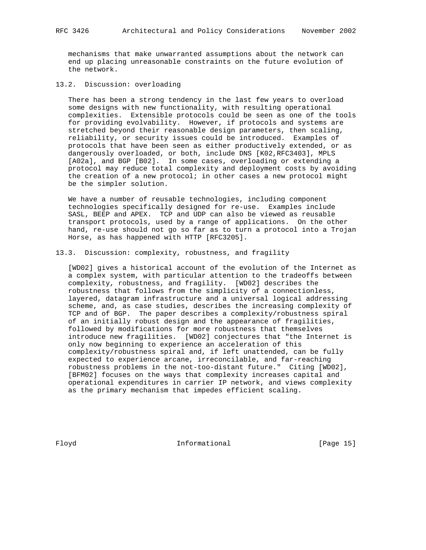mechanisms that make unwarranted assumptions about the network can end up placing unreasonable constraints on the future evolution of the network.

13.2. Discussion: overloading

 There has been a strong tendency in the last few years to overload some designs with new functionality, with resulting operational complexities. Extensible protocols could be seen as one of the tools for providing evolvability. However, if protocols and systems are stretched beyond their reasonable design parameters, then scaling, reliability, or security issues could be introduced. Examples of protocols that have been seen as either productively extended, or as dangerously overloaded, or both, include DNS [K02,RFC3403], MPLS [A02a], and BGP [B02]. In some cases, overloading or extending a protocol may reduce total complexity and deployment costs by avoiding the creation of a new protocol; in other cases a new protocol might be the simpler solution.

 We have a number of reusable technologies, including component technologies specifically designed for re-use. Examples include SASL, BEEP and APEX. TCP and UDP can also be viewed as reusable transport protocols, used by a range of applications. On the other hand, re-use should not go so far as to turn a protocol into a Trojan Horse, as has happened with HTTP [RFC3205].

### 13.3. Discussion: complexity, robustness, and fragility

 [WD02] gives a historical account of the evolution of the Internet as a complex system, with particular attention to the tradeoffs between complexity, robustness, and fragility. [WD02] describes the robustness that follows from the simplicity of a connectionless, layered, datagram infrastructure and a universal logical addressing scheme, and, as case studies, describes the increasing complexity of TCP and of BGP. The paper describes a complexity/robustness spiral of an initially robust design and the appearance of fragilities, followed by modifications for more robustness that themselves introduce new fragilities. [WD02] conjectures that "the Internet is only now beginning to experience an acceleration of this complexity/robustness spiral and, if left unattended, can be fully expected to experience arcane, irreconcilable, and far-reaching robustness problems in the not-too-distant future." Citing [WD02], [BFM02] focuses on the ways that complexity increases capital and operational expenditures in carrier IP network, and views complexity as the primary mechanism that impedes efficient scaling.

Floyd **Informational Informational** [Page 15]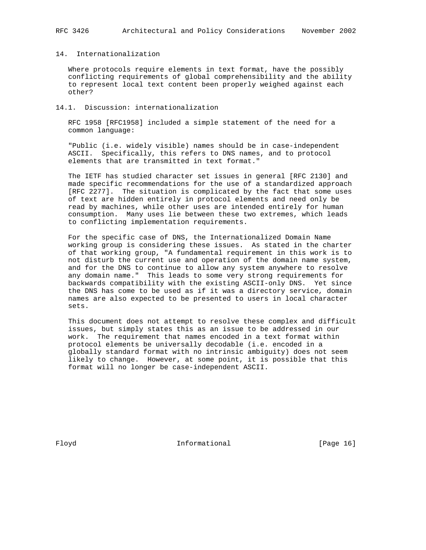## 14. Internationalization

 Where protocols require elements in text format, have the possibly conflicting requirements of global comprehensibility and the ability to represent local text content been properly weighed against each other?

### 14.1. Discussion: internationalization

 RFC 1958 [RFC1958] included a simple statement of the need for a common language:

 "Public (i.e. widely visible) names should be in case-independent ASCII. Specifically, this refers to DNS names, and to protocol elements that are transmitted in text format."

 The IETF has studied character set issues in general [RFC 2130] and made specific recommendations for the use of a standardized approach [RFC 2277]. The situation is complicated by the fact that some uses of text are hidden entirely in protocol elements and need only be read by machines, while other uses are intended entirely for human consumption. Many uses lie between these two extremes, which leads to conflicting implementation requirements.

 For the specific case of DNS, the Internationalized Domain Name working group is considering these issues. As stated in the charter of that working group, "A fundamental requirement in this work is to not disturb the current use and operation of the domain name system, and for the DNS to continue to allow any system anywhere to resolve any domain name." This leads to some very strong requirements for backwards compatibility with the existing ASCII-only DNS. Yet since the DNS has come to be used as if it was a directory service, domain names are also expected to be presented to users in local character sets.

 This document does not attempt to resolve these complex and difficult issues, but simply states this as an issue to be addressed in our work. The requirement that names encoded in a text format within protocol elements be universally decodable (i.e. encoded in a globally standard format with no intrinsic ambiguity) does not seem likely to change. However, at some point, it is possible that this format will no longer be case-independent ASCII.

Floyd **Informational Informational** [Page 16]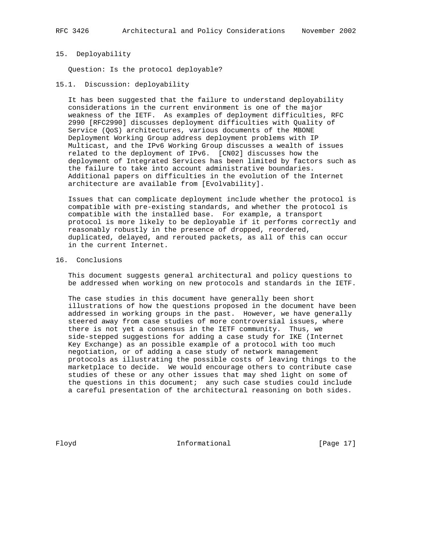#### 15. Deployability

Question: Is the protocol deployable?

15.1. Discussion: deployability

 It has been suggested that the failure to understand deployability considerations in the current environment is one of the major weakness of the IETF. As examples of deployment difficulties, RFC 2990 [RFC2990] discusses deployment difficulties with Quality of Service (QoS) architectures, various documents of the MBONE Deployment Working Group address deployment problems with IP Multicast, and the IPv6 Working Group discusses a wealth of issues related to the deployment of IPv6. [CN02] discusses how the deployment of Integrated Services has been limited by factors such as the failure to take into account administrative boundaries. Additional papers on difficulties in the evolution of the Internet architecture are available from [Evolvability].

 Issues that can complicate deployment include whether the protocol is compatible with pre-existing standards, and whether the protocol is compatible with the installed base. For example, a transport protocol is more likely to be deployable if it performs correctly and reasonably robustly in the presence of dropped, reordered, duplicated, delayed, and rerouted packets, as all of this can occur in the current Internet.

#### 16. Conclusions

 This document suggests general architectural and policy questions to be addressed when working on new protocols and standards in the IETF.

 The case studies in this document have generally been short illustrations of how the questions proposed in the document have been addressed in working groups in the past. However, we have generally steered away from case studies of more controversial issues, where there is not yet a consensus in the IETF community. Thus, we side-stepped suggestions for adding a case study for IKE (Internet Key Exchange) as an possible example of a protocol with too much negotiation, or of adding a case study of network management protocols as illustrating the possible costs of leaving things to the marketplace to decide. We would encourage others to contribute case studies of these or any other issues that may shed light on some of the questions in this document; any such case studies could include a careful presentation of the architectural reasoning on both sides.

Floyd **Informational Informational** [Page 17]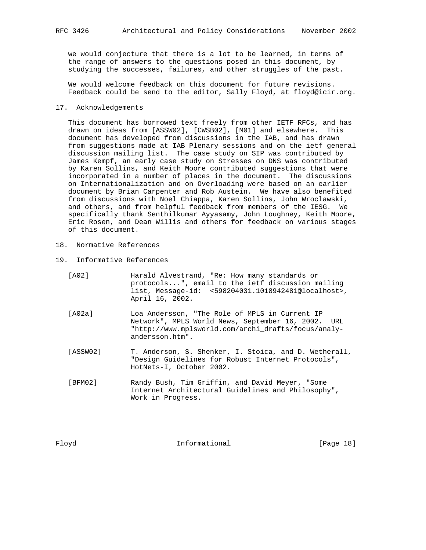we would conjecture that there is a lot to be learned, in terms of the range of answers to the questions posed in this document, by studying the successes, failures, and other struggles of the past.

 We would welcome feedback on this document for future revisions. Feedback could be send to the editor, Sally Floyd, at floyd@icir.org.

### 17. Acknowledgements

 This document has borrowed text freely from other IETF RFCs, and has drawn on ideas from [ASSW02], [CWSB02], [M01] and elsewhere. This document has developed from discussions in the IAB, and has drawn from suggestions made at IAB Plenary sessions and on the ietf general discussion mailing list. The case study on SIP was contributed by James Kempf, an early case study on Stresses on DNS was contributed by Karen Sollins, and Keith Moore contributed suggestions that were incorporated in a number of places in the document. The discussions on Internationalization and on Overloading were based on an earlier document by Brian Carpenter and Rob Austein. We have also benefited from discussions with Noel Chiappa, Karen Sollins, John Wroclawski, and others, and from helpful feedback from members of the IESG. We specifically thank Senthilkumar Ayyasamy, John Loughney, Keith Moore, Eric Rosen, and Dean Willis and others for feedback on various stages of this document.

- 18. Normative References
- 19. Informative References

| [A02] | Harald Alvestrand, "Re: How many standards or            |
|-------|----------------------------------------------------------|
|       | protocols", email to the ietf discussion mailing         |
|       | $list.$ Message-id: $<$ 598204031.1018942481@localhost>. |
|       | April 16, 2002.                                          |

- [A02a] Loa Andersson, "The Role of MPLS in Current IP Network", MPLS World News, September 16, 2002. URL "http://www.mplsworld.com/archi\_drafts/focus/analy andersson.htm".
- [ASSW02] T. Anderson, S. Shenker, I. Stoica, and D. Wetherall, "Design Guidelines for Robust Internet Protocols", HotNets-I, October 2002.
- [BFM02] Randy Bush, Tim Griffin, and David Meyer, "Some Internet Architectural Guidelines and Philosophy", Work in Progress.

Floyd **Informational Informational** [Page 18]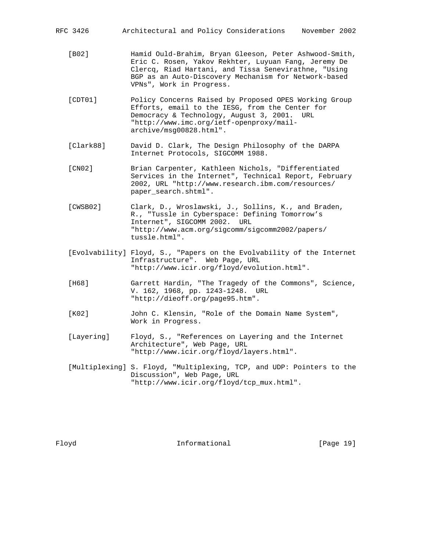- [B02] Hamid Ould-Brahim, Bryan Gleeson, Peter Ashwood-Smith, Eric C. Rosen, Yakov Rekhter, Luyuan Fang, Jeremy De Clercq, Riad Hartani, and Tissa Senevirathne, "Using BGP as an Auto-Discovery Mechanism for Network-based VPNs", Work in Progress.
- [CDT01] Policy Concerns Raised by Proposed OPES Working Group Efforts, email to the IESG, from the Center for Democracy & Technology, August 3, 2001. URL "http://www.imc.org/ietf-openproxy/mail archive/msg00828.html".
- [Clark88] David D. Clark, The Design Philosophy of the DARPA Internet Protocols, SIGCOMM 1988.
- [CN02] Brian Carpenter, Kathleen Nichols, "Differentiated Services in the Internet", Technical Report, February 2002, URL "http://www.research.ibm.com/resources/ paper\_search.shtml".
- [CWSB02] Clark, D., Wroslawski, J., Sollins, K., and Braden, R., "Tussle in Cyberspace: Defining Tomorrow's Internet", SIGCOMM 2002. URL "http://www.acm.org/sigcomm/sigcomm2002/papers/ tussle.html".
- [Evolvability] Floyd, S., "Papers on the Evolvability of the Internet Infrastructure". Web Page, URL "http://www.icir.org/floyd/evolution.html".
- [H68] Garrett Hardin, "The Tragedy of the Commons", Science, V. 162, 1968, pp. 1243-1248. URL "http://dieoff.org/page95.htm".
- [K02] John C. Klensin, "Role of the Domain Name System", Work in Progress.
- [Layering] Floyd, S., "References on Layering and the Internet Architecture", Web Page, URL "http://www.icir.org/floyd/layers.html".
- [Multiplexing] S. Floyd, "Multiplexing, TCP, and UDP: Pointers to the Discussion", Web Page, URL "http://www.icir.org/floyd/tcp\_mux.html".

Floyd **Informational Informational** [Page 19]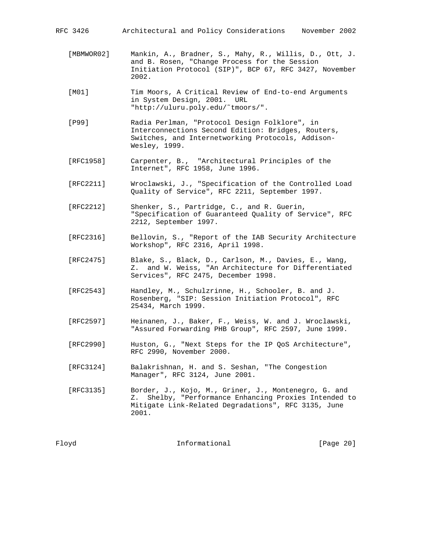| Architectural and Policy Considerations<br>RFC 3426 | November 2002 |
|-----------------------------------------------------|---------------|
|-----------------------------------------------------|---------------|

- [MBMWOR02] Mankin, A., Bradner, S., Mahy, R., Willis, D., Ott, J. and B. Rosen, "Change Process for the Session Initiation Protocol (SIP)", BCP 67, RFC 3427, November 2002.
- [M01] Tim Moors, A Critical Review of End-to-end Arguments in System Design, 2001. URL "http://uluru.poly.edu/˜tmoors/".
- [P99] Radia Perlman, "Protocol Design Folklore", in Interconnections Second Edition: Bridges, Routers, Switches, and Internetworking Protocols, Addison- Wesley, 1999.
- [RFC1958] Carpenter, B., "Architectural Principles of the Internet", RFC 1958, June 1996.
- [RFC2211] Wroclawski, J., "Specification of the Controlled Load Quality of Service", RFC 2211, September 1997.
- [RFC2212] Shenker, S., Partridge, C., and R. Guerin, "Specification of Guaranteed Quality of Service", RFC 2212, September 1997.
- [RFC2316] Bellovin, S., "Report of the IAB Security Architecture Workshop", RFC 2316, April 1998.
- [RFC2475] Blake, S., Black, D., Carlson, M., Davies, E., Wang, Z. and W. Weiss, "An Architecture for Differentiated Services", RFC 2475, December 1998.
- [RFC2543] Handley, M., Schulzrinne, H., Schooler, B. and J. Rosenberg, "SIP: Session Initiation Protocol", RFC 25434, March 1999.
- [RFC2597] Heinanen, J., Baker, F., Weiss, W. and J. Wroclawski, "Assured Forwarding PHB Group", RFC 2597, June 1999.
- [RFC2990] Huston, G., "Next Steps for the IP QoS Architecture", RFC 2990, November 2000.
- [RFC3124] Balakrishnan, H. and S. Seshan, "The Congestion Manager", RFC 3124, June 2001.
- [RFC3135] Border, J., Kojo, M., Griner, J., Montenegro, G. and Z. Shelby, "Performance Enhancing Proxies Intended to Mitigate Link-Related Degradations", RFC 3135, June 2001.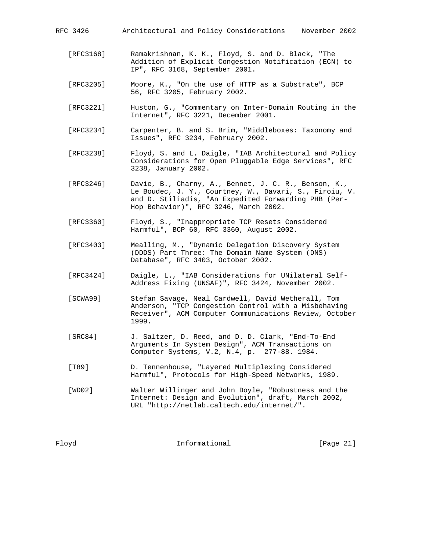- [RFC3168] Ramakrishnan, K. K., Floyd, S. and D. Black, "The Addition of Explicit Congestion Notification (ECN) to IP", RFC 3168, September 2001.
- [RFC3205] Moore, K., "On the use of HTTP as a Substrate", BCP 56, RFC 3205, February 2002.
- [RFC3221] Huston, G., "Commentary on Inter-Domain Routing in the Internet", RFC 3221, December 2001.
- [RFC3234] Carpenter, B. and S. Brim, "Middleboxes: Taxonomy and Issues", RFC 3234, February 2002.
- [RFC3238] Floyd, S. and L. Daigle, "IAB Architectural and Policy Considerations for Open Pluggable Edge Services", RFC 3238, January 2002.
- [RFC3246] Davie, B., Charny, A., Bennet, J. C. R., Benson, K., Le Boudec, J. Y., Courtney, W., Davari, S., Firoiu, V. and D. Stiliadis, "An Expedited Forwarding PHB (Per- Hop Behavior)", RFC 3246, March 2002.
- [RFC3360] Floyd, S., "Inappropriate TCP Resets Considered Harmful", BCP 60, RFC 3360, August 2002.
- [RFC3403] Mealling, M., "Dynamic Delegation Discovery System (DDDS) Part Three: The Domain Name System (DNS) Database", RFC 3403, October 2002.
- [RFC3424] Daigle, L., "IAB Considerations for UNilateral Self- Address Fixing (UNSAF)", RFC 3424, November 2002.
- [SCWA99] Stefan Savage, Neal Cardwell, David Wetherall, Tom Anderson, "TCP Congestion Control with a Misbehaving Receiver", ACM Computer Communications Review, October 1999.
- [SRC84] J. Saltzer, D. Reed, and D. D. Clark, "End-To-End Arguments In System Design", ACM Transactions on Computer Systems, V.2, N.4, p. 277-88. 1984.
- [T89] D. Tennenhouse, "Layered Multiplexing Considered Harmful", Protocols for High-Speed Networks, 1989.
- [WD02] Walter Willinger and John Doyle, "Robustness and the Internet: Design and Evolution", draft, March 2002, URL "http://netlab.caltech.edu/internet/".

Floyd **Informational Informational** [Page 21]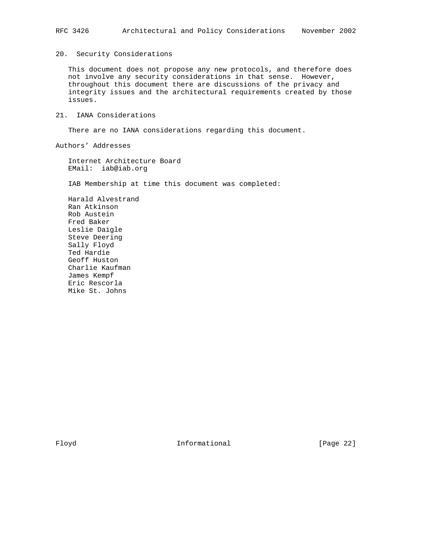## 20. Security Considerations

 This document does not propose any new protocols, and therefore does not involve any security considerations in that sense. However, throughout this document there are discussions of the privacy and integrity issues and the architectural requirements created by those issues.

# 21. IANA Considerations

There are no IANA considerations regarding this document.

Authors' Addresses

 Internet Architecture Board EMail: iab@iab.org

IAB Membership at time this document was completed:

 Harald Alvestrand Ran Atkinson Rob Austein Fred Baker Leslie Daigle Steve Deering Sally Floyd Ted Hardie Geoff Huston Charlie Kaufman James Kempf Eric Rescorla Mike St. Johns

Floyd **Informational Informational** [Page 22]